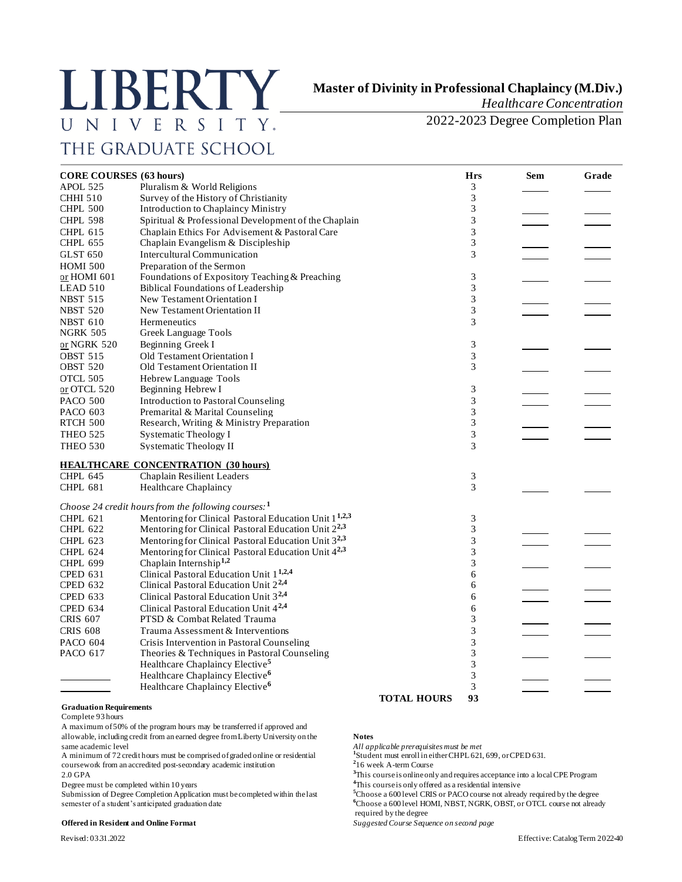# **LIBERTY** UNIVERSITY. THE GRADUATE SCHOOL

## **Master of Divinity in Professional Chaplaincy (M.Div.)**

*Healthcare Concentration* 

2022-2023 Degree Completion Plan

| <b>CORE COURSES</b> (63 hours) |                                                                   |             | <b>Hrs</b>     | <b>Sem</b> | Grade |
|--------------------------------|-------------------------------------------------------------------|-------------|----------------|------------|-------|
| APOL 525                       | Pluralism & World Religions                                       |             | 3              |            |       |
| <b>CHHI 510</b>                | Survey of the History of Christianity                             |             | 3              |            |       |
| <b>CHPL 500</b>                | Introduction to Chaplaincy Ministry                               |             | 3              |            |       |
| <b>CHPL 598</b>                | Spiritual & Professional Development of the Chaplain              |             | 3              |            |       |
| <b>CHPL 615</b>                | Chaplain Ethics For Advisement & Pastoral Care                    |             | 3              |            |       |
| <b>CHPL 655</b>                | Chaplain Evangelism & Discipleship                                |             | 3              |            |       |
| GLST <sub>650</sub>            | Intercultural Communication                                       |             | 3              |            |       |
| <b>HOMI 500</b>                | Preparation of the Sermon                                         |             |                |            |       |
| or HOMI 601                    | Foundations of Expository Teaching & Preaching                    |             | 3              |            |       |
| LEAD 510                       | <b>Biblical Foundations of Leadership</b>                         |             | 3              |            |       |
| <b>NBST 515</b>                | New Testament Orientation I                                       |             | 3              |            |       |
| <b>NBST 520</b>                | New Testament Orientation II                                      |             | 3              |            |       |
|                                | Hermeneutics                                                      |             | 3              |            |       |
| <b>NBST 610</b>                |                                                                   |             |                |            |       |
| <b>NGRK 505</b>                | Greek Language Tools                                              |             |                |            |       |
| or NGRK 520                    | Beginning Greek I                                                 |             | 3              |            |       |
| <b>OBST 515</b>                | Old Testament Orientation I                                       |             | 3              |            |       |
| <b>OBST 520</b>                | Old Testament Orientation II                                      |             | 3              |            |       |
| OTCL 505                       | Hebrew Language Tools                                             |             |                |            |       |
| or OTCL 520                    | Beginning Hebrew I                                                |             | 3              |            |       |
| <b>PACO 500</b>                | Introduction to Pastoral Counseling                               |             | 3              |            |       |
| PACO 603                       | Premarital & Marital Counseling                                   |             | 3              |            |       |
| RTCH 500                       | Research, Writing & Ministry Preparation                          |             | 3              |            |       |
| <b>THEO 525</b>                | <b>Systematic Theology I</b>                                      |             | 3              |            |       |
| <b>THEO 530</b>                | <b>Systematic Theology II</b>                                     |             | 3              |            |       |
|                                | <b>HEALTHCARE CONCENTRATION (30 hours)</b>                        |             |                |            |       |
| <b>CHPL 645</b>                | <b>Chaplain Resilient Leaders</b>                                 |             | 3              |            |       |
| <b>CHPL 681</b>                | <b>Healthcare Chaplaincy</b>                                      |             | 3              |            |       |
|                                | Choose 24 credit hours from the following courses: $1$            |             |                |            |       |
| CHPL 621                       | Mentoring for Clinical Pastoral Education Unit 1 <sup>1,2,3</sup> |             | 3              |            |       |
| <b>CHPL 622</b>                | Mentoring for Clinical Pastoral Education Unit 2 <sup>2,3</sup>   |             | 3              |            |       |
| <b>CHPL 623</b>                | Mentoring for Clinical Pastoral Education Unit 3 <sup>2,3</sup>   |             | 3              |            |       |
| <b>CHPL 624</b>                | Mentoring for Clinical Pastoral Education Unit 42,3               |             | 3              |            |       |
| <b>CHPL 699</b>                | Chaplain Internship <sup>1,2</sup>                                |             | 3              |            |       |
| <b>CPED 631</b>                | Clinical Pastoral Education Unit 1 <sup>1,2,4</sup>               |             | 6              |            |       |
| CPED 632                       | Clinical Pastoral Education Unit 2 <sup>2,4</sup>                 |             | 6              |            |       |
| <b>CPED 633</b>                | Clinical Pastoral Education Unit 3 <sup>2,4</sup>                 |             | 6              |            |       |
| <b>CPED 634</b>                | Clinical Pastoral Education Unit 4 <sup>2,4</sup>                 |             | 6              |            |       |
| <b>CRIS 607</b>                | PTSD & Combat Related Trauma                                      |             | 3              |            |       |
| <b>CRIS 608</b>                | Trauma Assessment & Interventions                                 |             | 3              |            |       |
| <b>PACO 604</b>                | Crisis Intervention in Pastoral Counseling                        |             | 3              |            |       |
| <b>PACO 617</b>                | Theories & Techniques in Pastoral Counseling                      |             | $\overline{3}$ |            |       |
|                                | Healthcare Chaplaincy Elective <sup>5</sup>                       |             | 3              |            |       |
|                                | Healthcare Chaplaincy Elective <sup>6</sup>                       |             | 3              |            |       |
|                                |                                                                   |             | 3              |            |       |
|                                | Healthcare Chaplaincy Elective <sup>6</sup>                       |             | 93             |            |       |
|                                |                                                                   | TOTAL HOURS |                |            |       |

#### **Graduation Requirements**

Complete 93 hours

A maximum of 50% of the program hours may be transferred if approved and allowable, including credit from an earned degree from Liberty University on the **Notes**

A minimum of 72 credit hours must be comprised of graded online or residential **<sup>1</sup>** coursework from an accredited post-secondary academic institution **<sup>2</sup>**

Degree must be completed within 10 years **4**This course is only offered as a residential intensive<br>Submission of Degree Completion Application must be completed within the last <sup>5</sup>Choose a 600 level CRIS or PACO course not Submission of Degree Completion Application must be completed within the last **<sup>5</sup>**Choose a 600 level CRIS or PACO course not already required by the degree

#### **Offered in Resident and Online Format** *Suggested Course Sequence on second page*

same academic level *All applicable prerequisites must be met*

<sup>1</sup>Student must enroll in either CHPL 621, 699, or CPED 631.

16 week A-term Course

2.0 GPA **<sup>3</sup>**This course is online only and requires acceptance into a local CPE Program

semester of a student's anticipated graduation date **6Choose a 600 level HOMI, NBST, NGRK, OBST**, or OTCL course not already required by the degree